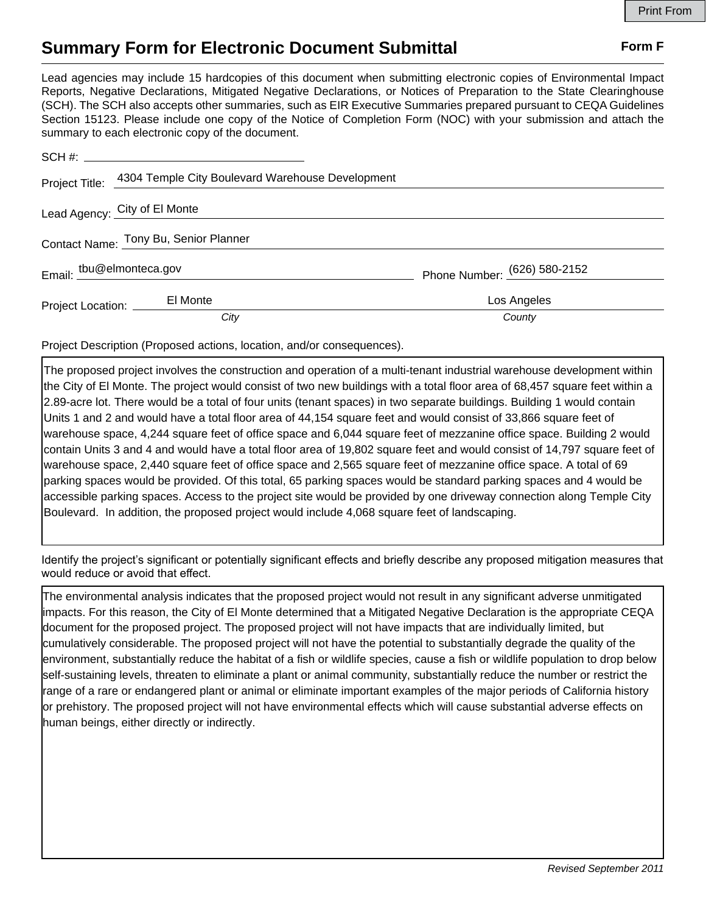## **Summary Form for Electronic Document Submittal Form F Form F**

Lead agencies may include 15 hardcopies of this document when submitting electronic copies of Environmental Impact Reports, Negative Declarations, Mitigated Negative Declarations, or Notices of Preparation to the State Clearinghouse (SCH). The SCH also accepts other summaries, such as EIR Executive Summaries prepared pursuant to CEQA Guidelines Section 15123. Please include one copy of the Notice of Completion Form (NOC) with your submission and attach the summary to each electronic copy of the document.

| Project Title:                        | 4304 Temple City Boulevard Warehouse Development |                              |
|---------------------------------------|--------------------------------------------------|------------------------------|
|                                       | Lead Agency: City of El Monte                    |                              |
| Contact Name: Tony Bu, Senior Planner |                                                  |                              |
| Email: tbu@elmonteca.gov              |                                                  | Phone Number: (626) 580-2152 |
|                                       | El Monte                                         | Los Angeles                  |
|                                       | City                                             | County                       |

Project Description (Proposed actions, location, and/or consequences).

The proposed project involves the construction and operation of a multi-tenant industrial warehouse development within the City of El Monte. The project would consist of two new buildings with a total floor area of 68,457 square feet within a 2.89-acre lot. There would be a total of four units (tenant spaces) in two separate buildings. Building 1 would contain Units 1 and 2 and would have a total floor area of 44,154 square feet and would consist of 33,866 square feet of warehouse space, 4,244 square feet of office space and 6,044 square feet of mezzanine office space. Building 2 would contain Units 3 and 4 and would have a total floor area of 19,802 square feet and would consist of 14,797 square feet of warehouse space, 2,440 square feet of office space and 2,565 square feet of mezzanine office space. A total of 69 parking spaces would be provided. Of this total, 65 parking spaces would be standard parking spaces and 4 would be accessible parking spaces. Access to the project site would be provided by one driveway connection along Temple City Boulevard. In addition, the proposed project would include 4,068 square feet of landscaping.

Identify the project's significant or potentially significant effects and briefly describe any proposed mitigation measures that would reduce or avoid that effect.

The environmental analysis indicates that the proposed project would not result in any significant adverse unmitigated impacts. For this reason, the City of El Monte determined that a Mitigated Negative Declaration is the appropriate CEQA document for the proposed project. The proposed project will not have impacts that are individually limited, but cumulatively considerable. The proposed project will not have the potential to substantially degrade the quality of the environment, substantially reduce the habitat of a fish or wildlife species, cause a fish or wildlife population to drop below self-sustaining levels, threaten to eliminate a plant or animal community, substantially reduce the number or restrict the range of a rare or endangered plant or animal or eliminate important examples of the major periods of California history or prehistory. The proposed project will not have environmental effects which will cause substantial adverse effects on human beings, either directly or indirectly.